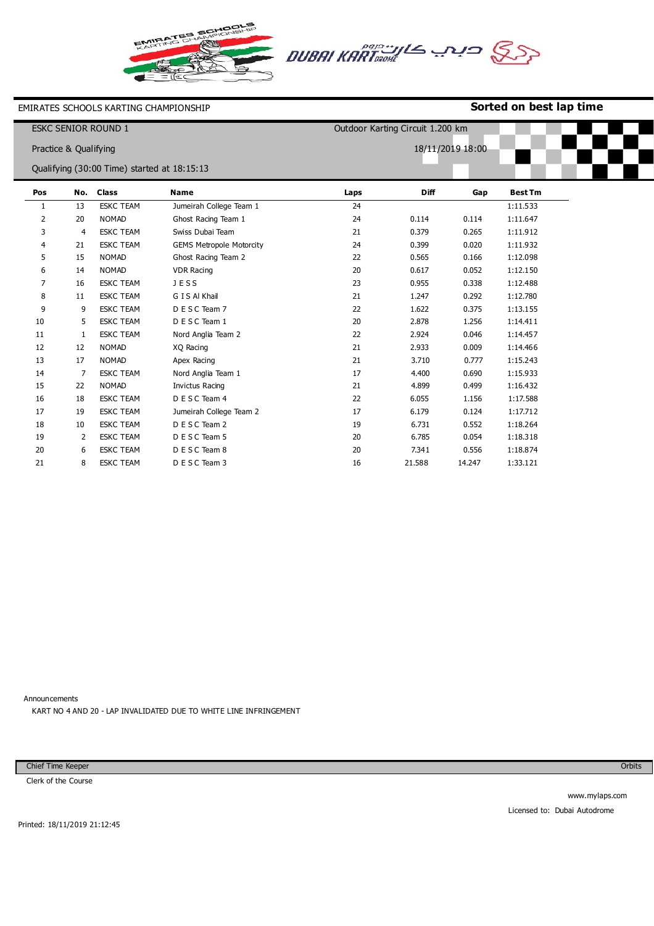



EMIRATES SCHOOLS KARTING CHAMPIONSHIP

## **Sorted on best lap time**

| <b>ESKC SENIOR ROUND 1</b> |                       |                                             |                                 | Outdoor Karting Circuit 1.200 km |             |        |                |  |
|----------------------------|-----------------------|---------------------------------------------|---------------------------------|----------------------------------|-------------|--------|----------------|--|
|                            | Practice & Qualifying |                                             |                                 | 18/11/2019 18:00                 |             |        |                |  |
|                            |                       | Qualifying (30:00 Time) started at 18:15:13 |                                 |                                  |             |        |                |  |
| Pos                        | No.                   | <b>Class</b>                                | <b>Name</b>                     | Laps                             | <b>Diff</b> | Gap    | <b>Best Tm</b> |  |
| 1                          | 13                    | <b>ESKC TEAM</b>                            | Jumeirah College Team 1         | 24                               |             |        | 1:11.533       |  |
| 2                          | 20                    | <b>NOMAD</b>                                | Ghost Racing Team 1             | 24                               | 0.114       | 0.114  | 1:11.647       |  |
| 3                          | $\overline{4}$        | <b>ESKC TEAM</b>                            | Swiss Dubai Team                | 21                               | 0.379       | 0.265  | 1:11.912       |  |
| 4                          | 21                    | <b>ESKC TEAM</b>                            | <b>GEMS Metropole Motorcity</b> | 24                               | 0.399       | 0.020  | 1:11.932       |  |
| 5                          | 15                    | <b>NOMAD</b>                                | Ghost Racing Team 2             | 22                               | 0.565       | 0.166  | 1:12.098       |  |
| 6                          | 14                    | <b>NOMAD</b>                                | <b>VDR Racing</b>               | 20                               | 0.617       | 0.052  | 1:12.150       |  |
| 7                          | 16                    | <b>ESKC TEAM</b>                            | <b>JESS</b>                     | 23                               | 0.955       | 0.338  | 1:12.488       |  |
| 8                          | 11                    | <b>ESKC TEAM</b>                            | G I S Al Khail                  | 21                               | 1.247       | 0.292  | 1:12.780       |  |
| 9                          | 9                     | <b>ESKC TEAM</b>                            | D E S C Team 7                  | 22                               | 1.622       | 0.375  | 1:13.155       |  |
| 10                         | 5                     | <b>ESKC TEAM</b>                            | D E S C Team 1                  | 20                               | 2.878       | 1.256  | 1:14.411       |  |
| 11                         | 1                     | <b>ESKC TEAM</b>                            | Nord Anglia Team 2              | 22                               | 2.924       | 0.046  | 1:14.457       |  |
| 12                         | 12                    | <b>NOMAD</b>                                | XQ Racing                       | 21                               | 2.933       | 0.009  | 1:14.466       |  |
| 13                         | 17                    | <b>NOMAD</b>                                | Apex Racing                     | 21                               | 3.710       | 0.777  | 1:15.243       |  |
| 14                         | 7                     | <b>ESKC TEAM</b>                            | Nord Anglia Team 1              | 17                               | 4.400       | 0.690  | 1:15.933       |  |
| 15                         | 22                    | <b>NOMAD</b>                                | Invictus Racing                 | 21                               | 4.899       | 0.499  | 1:16.432       |  |
| 16                         | 18                    | <b>ESKC TEAM</b>                            | D E S C Team 4                  | 22                               | 6.055       | 1.156  | 1:17.588       |  |
| 17                         | 19                    | <b>ESKC TEAM</b>                            | Jumeirah College Team 2         | 17                               | 6.179       | 0.124  | 1:17.712       |  |
| 18                         | 10                    | <b>ESKC TEAM</b>                            | D E S C Team 2                  | 19                               | 6.731       | 0.552  | 1:18.264       |  |
| 19                         | 2                     | <b>ESKC TEAM</b>                            | D E S C Team 5                  | 20                               | 6.785       | 0.054  | 1:18.318       |  |
| 20                         | 6                     | <b>ESKC TEAM</b>                            | D E S C Team 8                  | 20                               | 7.341       | 0.556  | 1:18.874       |  |
| 21                         | 8                     | <b>ESKC TEAM</b>                            | D E S C Team 3                  | 16                               | 21.588      | 14.247 | 1:33.121       |  |

Announcements

KART NO 4 AND 20 - LAP INVALIDATED DUE TO WHITE LINE INFRINGEMENT

Chief Time Keeper

Clerk of the Course

**Orbits**